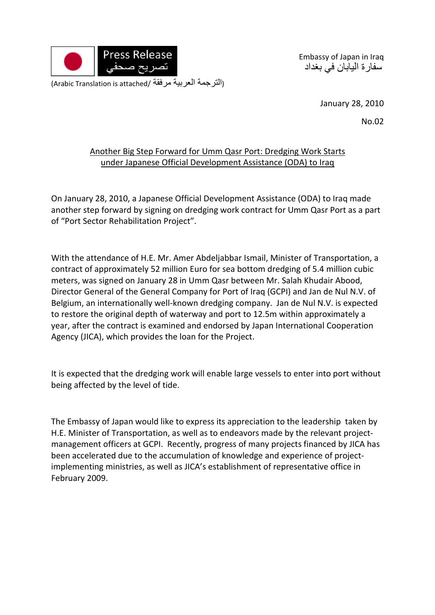

Embassy of Japan in Iraq سفارة اليابان في بغداد

(التر جمة العربية مرفقة /Arabic Translation is attached)

January 28, 2010

No.02

## Another Big Step Forward for Umm Qasr Port: Dredging Work Starts under Japanese Official Development Assistance (ODA) to Iraq

On January 28, 2010, a Japanese Official Development Assistance (ODA) to Iraq made another step forward by signing on dredging work contract for Umm Qasr Port as a part of "Port Sector Rehabilitation Project".

With the attendance of H.E. Mr. Amer Abdeljabbar Ismail, Minister of Transportation, a contract of approximately 52 million Euro for sea bottom dredging of 5.4 million cubic meters, was signed on January 28 in Umm Qasr between Mr. Salah Khudair Abood, Director General of the General Company for Port of Iraq (GCPI) and Jan de Nul N.V. of Belgium, an internationally well‐known dredging company. Jan de Nul N.V. is expected to restore the original depth of waterway and port to 12.5m within approximately a year, after the contract is examined and endorsed by Japan International Cooperation Agency (JICA), which provides the loan for the Project.

It is expected that the dredging work will enable large vessels to enter into port without being affected by the level of tide.

The Embassy of Japan would like to express its appreciation to the leadership taken by H.E. Minister of Transportation, as well as to endeavors made by the relevant project‐ management officers at GCPI. Recently, progress of many projects financed by JICA has been accelerated due to the accumulation of knowledge and experience of projectimplementing ministries, as well as JICA's establishment of representative office in February 2009.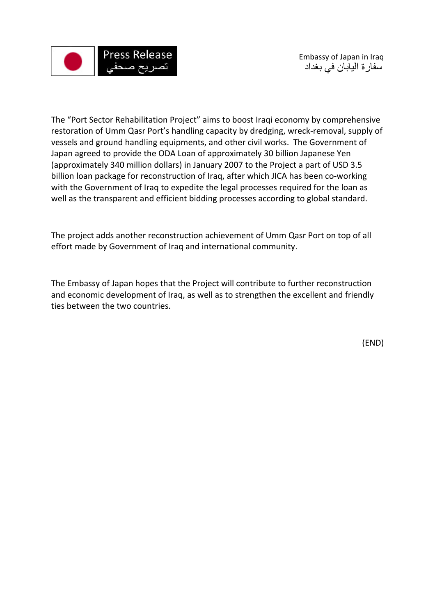

The "Port Sector Rehabilitation Project" aims to boost Iraqi economy by comprehensive restoration of Umm Qasr Port's handling capacity by dredging, wreck-removal, supply of vessels and ground handling equipments, and other civil works. The Government of Japan agreed to provide the ODA Loan of approximately 30 billion Japanese Yen (approximately 340 million dollars) in January 2007 to the Project a part of USD 3.5 billion loan package for reconstruction of Iraq, after which JICA has been co‐working with the Government of Iraq to expedite the legal processes required for the loan as well as the transparent and efficient bidding processes according to global standard.

The project adds another reconstruction achievement of Umm Qasr Port on top of all effort made by Government of Iraq and international community.

The Embassy of Japan hopes that the Project will contribute to further reconstruction and economic development of Iraq, as well as to strengthen the excellent and friendly ties between the two countries.

(END)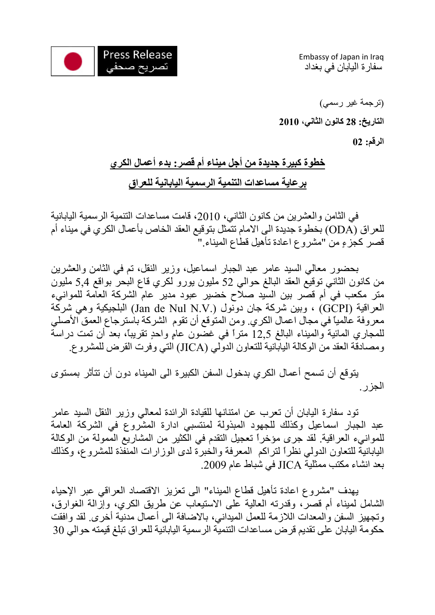

Embassy of Japan in Iraq سفارة اليابان في بغداد

(ترجمة غير رسمي) **التاريخ: 28 آانون الثاني، 2010 الرقم: 02** 

## **خطوة آبيرة جديدة من أجل ميناء أم قصر: بدء أعمال الكري برعاية مساعدات التنمية الرسمية اليابانية للعراق**

في الثامن والعشرين من كانون الثاني، 2010، قامت مساعدات التنمية الرسمية اليابانية للعراق (ODA (بخطوة جديدة الى الامام تتمثل بتوقيع العقد الخاص بأعمال الكري في ميناء أم قصر كجزءٍ من "مشروع اعادة تأهيل قطاع الميناء."

بحضور معالي السيد عامر عبد الجبار اسماعيل، وزير النقل، تم في الثامن والعشرين من كانون الثاني توقيع العقد البالغ حوالي 52 مليون يورو لكري قاع البحرّ بواقع 5٫4 مليون متر مكعب في أم قصر بين السيد صلاح خضير عبود مدير عام الشركة العامة للموانيء العراقية (GCPI (، وبين شرآة جان دونول (.V.N Nul de Jan (البلجيكية وهي شرآة معروفة عالمياً في مجال اعمال الكري. ومن المتوقع أن تقوم الشركة باسترجاع العمق الأصلي للمجاري المائية والميناء البالغ 12٫5 متراً في غضون عامٍ واحدٍ تقريباً، بعد أن تمت دراسة ومصادقة العقد من الوكالة اليابانية للتعاون الدولي (JJCA) التي وفرت القرض للمشروع.

يتوقع أن تسمح أعمال الكري بدخول السفن الكبيرة الى الميناء دون أن تتأثر بمستوى الجزر.

تود سفارة اليابان أن تعرب عن امتنانها للقيادة الرائدة لمعالي وزير النقل السيد عامر عبد الجبار اسماعيل وكذلك للجهود المبذولة لمنتسبي ادارة المشروع في الشركة العامة للموانيء العراقية. لقد جرى مؤخراً تعجيل التقدم في الكثير من المشاريع الممولة من الوكالة اليابانية للتعاون الدولي نظراً لتراكم المعرفة والخبرة لدى الوزارات المنفذة للمشروع، وكذلك بعد انشاء مكتب ممثلية JICA في شباط عام .2009

يهدف "مشروع اعادة تأهيل قطاع الميناء" الى تعزيز الاقتصاد العراقي عبر الإحياء الشامل لميناء أم قصر، وقدرته العالية على الاستيعاب عن طريق الكري، وإزالة الغوارق، وتجهيز السفن والمعدات اللازمة للعمل الميداني، بالاضافة الى أعمال مدنية أخرى. لقد وافقت حكومة اليابان على تقديم قرض مساعدات التنمية الرسمية اليابانية للعراق تبلغ قيمته حوالي 30